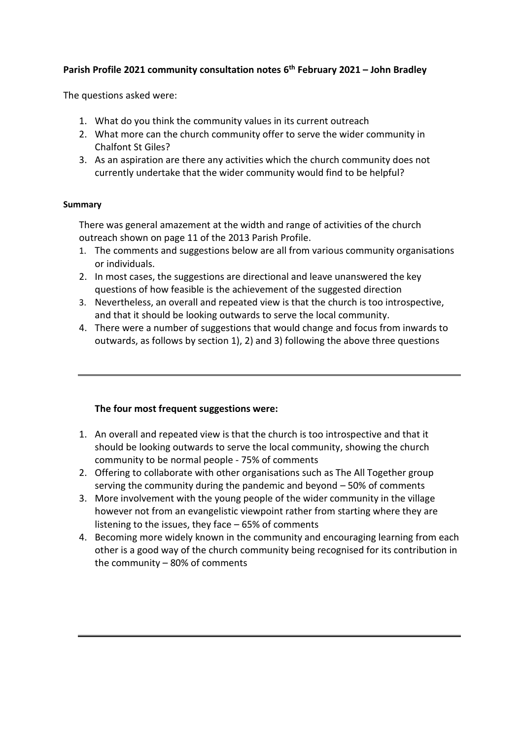# **Parish Profile 2021 community consultation notes 6 th February 2021 – John Bradley**

The questions asked were:

- 1. What do you think the community values in its current outreach
- 2. What more can the church community offer to serve the wider community in Chalfont St Giles?
- 3. As an aspiration are there any activities which the church community does not currently undertake that the wider community would find to be helpful?

#### **Summary**

There was general amazement at the width and range of activities of the church outreach shown on page 11 of the 2013 Parish Profile.

- 1. The comments and suggestions below are all from various community organisations or individuals.
- 2. In most cases, the suggestions are directional and leave unanswered the key questions of how feasible is the achievement of the suggested direction
- 3. Nevertheless, an overall and repeated view is that the church is too introspective, and that it should be looking outwards to serve the local community.
- 4. There were a number of suggestions that would change and focus from inwards to outwards, as follows by section 1), 2) and 3) following the above three questions

### **The four most frequent suggestions were:**

- 1. An overall and repeated view is that the church is too introspective and that it should be looking outwards to serve the local community, showing the church community to be normal people - 75% of comments
- 2. Offering to collaborate with other organisations such as The All Together group serving the community during the pandemic and beyond – 50% of comments
- 3. More involvement with the young people of the wider community in the village however not from an evangelistic viewpoint rather from starting where they are listening to the issues, they face – 65% of comments
- 4. Becoming more widely known in the community and encouraging learning from each other is a good way of the church community being recognised for its contribution in the community – 80% of comments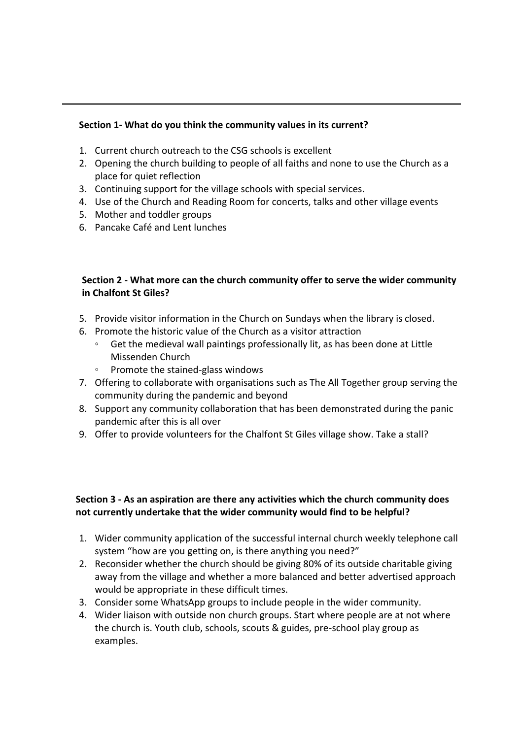#### **Section 1- What do you think the community values in its current?**

- 1. Current church outreach to the CSG schools is excellent
- 2. Opening the church building to people of all faiths and none to use the Church as a place for quiet reflection
- 3. Continuing support for the village schools with special services.
- 4. Use of the Church and Reading Room for concerts, talks and other village events
- 5. Mother and toddler groups
- 6. Pancake Café and Lent lunches

#### **Section 2 - What more can the church community offer to serve the wider community in Chalfont St Giles?**

- 5. Provide visitor information in the Church on Sundays when the library is closed.
- 6. Promote the historic value of the Church as a visitor attraction
	- Get the medieval wall paintings professionally lit, as has been done at Little Missenden Church
	- Promote the stained-glass windows
- 7. Offering to collaborate with organisations such as The All Together group serving the community during the pandemic and beyond
- 8. Support any community collaboration that has been demonstrated during the panic pandemic after this is all over
- 9. Offer to provide volunteers for the Chalfont St Giles village show. Take a stall?

#### **Section 3 - As an aspiration are there any activities which the church community does not currently undertake that the wider community would find to be helpful?**

- 1. Wider community application of the successful internal church weekly telephone call system "how are you getting on, is there anything you need?"
- 2. Reconsider whether the church should be giving 80% of its outside charitable giving away from the village and whether a more balanced and better advertised approach would be appropriate in these difficult times.
- 3. Consider some WhatsApp groups to include people in the wider community.
- 4. Wider liaison with outside non church groups. Start where people are at not where the church is. Youth club, schools, scouts & guides, pre-school play group as examples.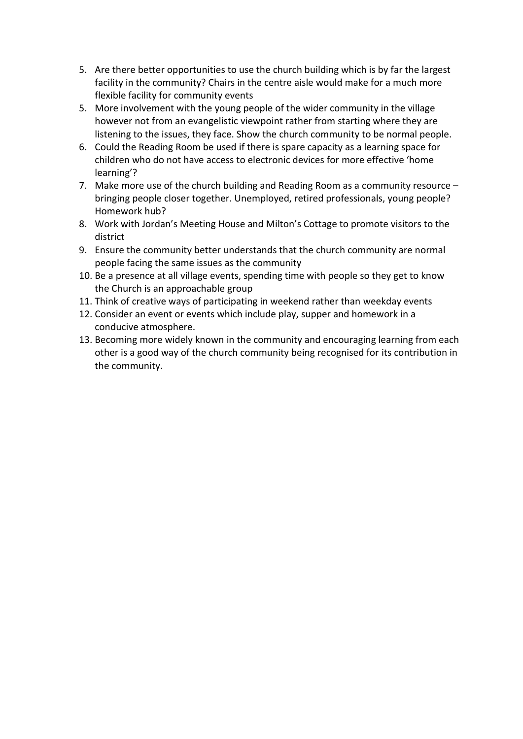- 5. Are there better opportunities to use the church building which is by far the largest facility in the community? Chairs in the centre aisle would make for a much more flexible facility for community events
- 5. More involvement with the young people of the wider community in the village however not from an evangelistic viewpoint rather from starting where they are listening to the issues, they face. Show the church community to be normal people.
- 6. Could the Reading Room be used if there is spare capacity as a learning space for children who do not have access to electronic devices for more effective 'home learning'?
- 7. Make more use of the church building and Reading Room as a community resource bringing people closer together. Unemployed, retired professionals, young people? Homework hub?
- 8. Work with Jordan's Meeting House and Milton's Cottage to promote visitors to the district
- 9. Ensure the community better understands that the church community are normal people facing the same issues as the community
- 10. Be a presence at all village events, spending time with people so they get to know the Church is an approachable group
- 11. Think of creative ways of participating in weekend rather than weekday events
- 12. Consider an event or events which include play, supper and homework in a conducive atmosphere.
- 13. Becoming more widely known in the community and encouraging learning from each other is a good way of the church community being recognised for its contribution in the community.